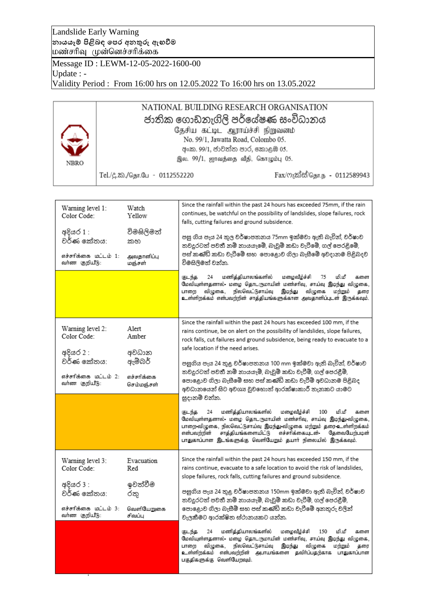Landslide Early Warning **නායයෑම් පිළිබඳ පෙර අනතුරු ඇඟවීම** மண்சரிவ முன்னெச்சரிக்கை

Message ID : LEWM-12-05-2022-1600-00 Update : - Validity Period : From 16:00 hrs on 12.05.2022 To 16:00 hrs on 13.05.2022

## NATIONAL BUILDING RESEARCH ORGANISATION ජාතික ගොඩනැගිලි පර්යේෂණ සංවිධානය தேசிய கட்டிட ஆராய்ச்சி நிறுவனம் No. 99/1, Jawatta Road, Colombo 05. අංක. 99/1, ජාවත්ත පාර, කොළඹ 05. இல. 99/1, ஐாவத்தை வீதி, கொழும்பு 05. **NBRO** Fax/ෆැක්ස්/தொ.ந - 0112589943 Tel./பு.2ை./தொ.பே - 0112552220

| Warning level 1:<br>Color Code:<br>අදියර 1 :<br>වර්ණ කේතය:<br>எச்சாிக்கை மொட்ம் 1:<br>வா்ண குறியீடு: | Watch<br>Yellow<br>විමසිලිමත්<br>කහ<br>அவதானிப்பு<br>மஞ்சள் | Since the rainfall within the past 24 hours has exceeded 75mm, if the rain<br>continues, be watchful on the possibility of landslides, slope failures, rock<br>falls, cutting failures and ground subsidence.<br>පසු ගිය පැය 24 තුල වර්ෂාපතනය 75mm ඉක්මවා ඇති බැවින්, වර්ෂාව<br>තවදුරටත් පවතී නම් නායයෑමේ, බෑවුම් කඩා වැටීමේ, ගල් පෙරළිමේ,<br>පස් කණ්ඩි කඩා වැටීමේ සහ  පොළොව ගිලා බැසීමේ අවදානම පිළිබදව<br>විමසිලිමත් වන්න.<br>மணித்தியாலங்களில்<br>மழைவீழ்ச்சி<br>மிமீ<br>குடந்த<br>24<br>75<br>களை<br>மேவியுள்ளதனால்- மழை தொடருமாயின் மண்சரிவு, சாய்வு இடிந்து விழுகை,<br>நிலவெட்டுசாய்வு<br>விமுகை.<br>இடிந்து<br>விழுகை<br>மந்நும்<br>பாறை<br>தரை<br>உள்ளிறக்கம் என்பவற்றின் சாத்தியங்களுக்கான அவதானிப்புடன் இருக்கவும். |
|------------------------------------------------------------------------------------------------------|-------------------------------------------------------------|------------------------------------------------------------------------------------------------------------------------------------------------------------------------------------------------------------------------------------------------------------------------------------------------------------------------------------------------------------------------------------------------------------------------------------------------------------------------------------------------------------------------------------------------------------------------------------------------------------------------------------------------------------------------------------------------------------------------------|
|                                                                                                      |                                                             |                                                                                                                                                                                                                                                                                                                                                                                                                                                                                                                                                                                                                                                                                                                              |
| Warning level 2:<br>Color Code:                                                                      | Alert<br>Amber                                              | Since the rainfall within the past 24 hours has exceeded 100 mm, if the<br>rains continue, be on alert on the possibility of landslides, slope failures,<br>rock falls, cut failures and ground subsidence, being ready to evacuate to a<br>safe location if the need arises.                                                                                                                                                                                                                                                                                                                                                                                                                                                |
| අදියර 2 :                                                                                            | අවධාන                                                       |                                                                                                                                                                                                                                                                                                                                                                                                                                                                                                                                                                                                                                                                                                                              |
| වර්ණ කේතය:                                                                                           | ඇම්බර්                                                      | පසුගිය පැය 24 තුළ වර්ෂාපතනය 100 mm ඉක්මවා ඇති බැවින්, වර්ෂාව                                                                                                                                                                                                                                                                                                                                                                                                                                                                                                                                                                                                                                                                 |
| எச்சாிக்கை மட்டம் 2:<br>வர்ண குறியீடு:                                                               | எச்சரிக்கை<br>செம்மஞ்சள்                                    | තවදුරටත් පවතී නම් නායයෑම්, බෑවුම් කඩා වැටීම්, ගල් පෙරළීම්,<br>පොළොව ගිලා බැසීමේ සහ පස් කණිඩි කඩා වැටීම් අවධානම පිළිබද<br>අවධානයෙන් සිට අවශා වූවහොත් ආරක්ෂාකාරී තැනකට යාමට<br>සුදානම් වන්න.                                                                                                                                                                                                                                                                                                                                                                                                                                                                                                                                   |
|                                                                                                      |                                                             | மணித்தியாலங்களில்<br>மழைவீழ்ச்சி<br>மி.மீ<br>குடந்த<br>24<br>100<br>களை<br>மேவியுள்ளதனால்- மழை தொடருமாயின் மண்சரிவு, சாய்வு இடிந்து-விழுகை,<br>பாறை-விழுகை, நிலவெட்டுசாய்வு இடிந்து-விழுகை மற்றும் தரை-உள்ளிறக்கம்.<br>சாத்தியங்களையிட்டு<br>எச்சரிக்கையுடன்-<br>என்பவந்நின்<br>தேவைபேற்படின்<br>பாதுகாப்பான இடங்களுக்கு வெளியேறும் தயார் நிலையில் இருக்கவும்.                                                                                                                                                                                                                                                                                                                                                               |
| Warning level 3:                                                                                     | Evacuation                                                  | Since the rainfall within the past 24 hours has exceeded 150 mm, if the                                                                                                                                                                                                                                                                                                                                                                                                                                                                                                                                                                                                                                                      |
| Color Code:                                                                                          | Red                                                         | rains continue, evacuate to a safe location to avoid the risk of landslides,                                                                                                                                                                                                                                                                                                                                                                                                                                                                                                                                                                                                                                                 |
| අදියර 3 :                                                                                            | ඉවත්වීම                                                     | slope failures, rock falls, cutting failures and ground subsidence.                                                                                                                                                                                                                                                                                                                                                                                                                                                                                                                                                                                                                                                          |
| වර්ණ කේතය:                                                                                           | රතු                                                         | පසුගිය පැය 24 තුළ වර්ෂාපතනය 150mm ඉක්මවා ඇති බැවින්, වර්ෂාව                                                                                                                                                                                                                                                                                                                                                                                                                                                                                                                                                                                                                                                                  |
|                                                                                                      |                                                             | තවදුරටත් පවතී නම් නායයෑම්, බෑවුම් කඩා වැටීම්, ගල් පෙරළීම්,                                                                                                                                                                                                                                                                                                                                                                                                                                                                                                                                                                                                                                                                   |
| எச்சாிக்கை மட்டம் 3:<br>வர்ண குறியீடு:                                                               | வெளியேறுகை<br>சிவப்பு                                       | පොළොව ගිලා බැසීම් සහ පස් කණිඩි කඩා වැටීමේ අනතුරු වලින්<br>වැලකීමට ආරක්ෂිත ස්ථානයකට යන්න.                                                                                                                                                                                                                                                                                                                                                                                                                                                                                                                                                                                                                                     |
|                                                                                                      |                                                             | மணித்தியாலங்களில்<br>மழைவீழ்ச்சி<br>மி.மீ<br>குடந்த<br>24<br>150<br>களை<br>மேவியுள்ளதனால்- மழை தொடருமாயின் மண்சரிவு, சாய்வு இடிந்து விழுகை,<br>விமுகை.<br>நிலவெட்டுசாய்வு<br>இடிந்து<br>விழுகை<br>மந்நும்<br>பாறை<br>கரை<br>உள்ளிறக்கம் என்பவற்றின் அபாயங்களை தவிர்ப்பதற்காக பாதுகாப்பான<br>பகுதிகளுக்கு வெளியேறவும்.                                                                                                                                                                                                                                                                                                                                                                                                        |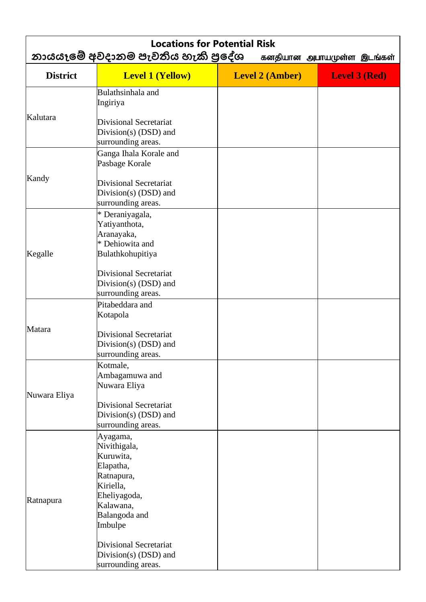| <b>Locations for Potential Risk</b><br>නායයෑමේ අවදානම පැවතිය හැකි පුදේශ<br>கனதியான அபாயமுள்ள இடங்கள் |                                                                                |                        |                      |  |  |
|------------------------------------------------------------------------------------------------------|--------------------------------------------------------------------------------|------------------------|----------------------|--|--|
| <b>District</b>                                                                                      | <b>Level 1 (Yellow)</b>                                                        | <b>Level 2 (Amber)</b> | <b>Level 3 (Red)</b> |  |  |
|                                                                                                      | Bulathsinhala and<br>Ingiriya                                                  |                        |                      |  |  |
| Kalutara                                                                                             | <b>Divisional Secretariat</b><br>Division(s) $(DSD)$ and<br>surrounding areas. |                        |                      |  |  |
|                                                                                                      | Ganga Ihala Korale and<br>Pasbage Korale                                       |                        |                      |  |  |
| Kandy                                                                                                | <b>Divisional Secretariat</b><br>Division(s) (DSD) and<br>surrounding areas.   |                        |                      |  |  |
|                                                                                                      | * Deraniyagala,<br>Yatiyanthota,<br>Aranayaka,                                 |                        |                      |  |  |
| Kegalle                                                                                              | * Dehiowita and<br>Bulathkohupitiya                                            |                        |                      |  |  |
|                                                                                                      | <b>Divisional Secretariat</b><br>Division(s) (DSD) and<br>surrounding areas.   |                        |                      |  |  |
|                                                                                                      | Pitabeddara and<br>Kotapola                                                    |                        |                      |  |  |
| Matara                                                                                               | <b>Divisional Secretariat</b><br>Division(s) $(DSD)$ and<br>surrounding areas. |                        |                      |  |  |
|                                                                                                      | Kotmale,<br>Ambagamuwa and<br>Nuwara Eliya                                     |                        |                      |  |  |
| Nuwara Eliya                                                                                         | <b>Divisional Secretariat</b><br>Division(s) (DSD) and<br>surrounding areas.   |                        |                      |  |  |
|                                                                                                      | Ayagama,<br>Nivithigala,<br>Kuruwita,<br>Elapatha,<br>Ratnapura,<br>Kiriella,  |                        |                      |  |  |
| Ratnapura                                                                                            | Eheliyagoda,<br>Kalawana,<br>Balangoda and<br>Imbulpe                          |                        |                      |  |  |
|                                                                                                      | <b>Divisional Secretariat</b><br>Division(s) (DSD) and<br>surrounding areas.   |                        |                      |  |  |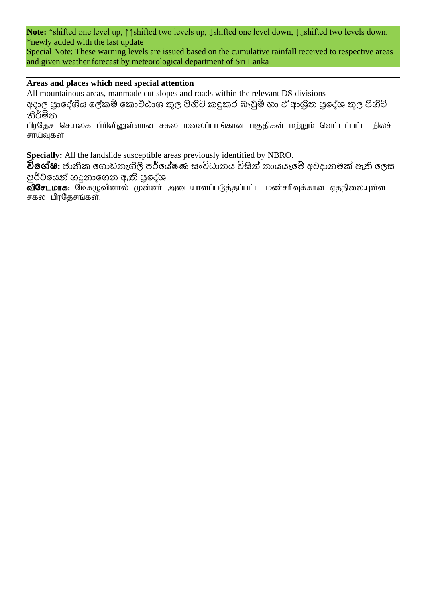**Note:** ↑shifted one level up, ↑↑shifted two levels up, ↓shifted one level down, ↓↓shifted two levels down. \*newly added with the last update

Special Note: These warning levels are issued based on the cumulative rainfall received to respective areas and given weather forecast by meteorological department of Sri Lanka

## **Areas and places which need special attention**

All mountainous areas, manmade cut slopes and roads within the relevant DS divisions

 $|$ අදාල පුාදේශීය ලේකම් කොට්ඨාශ තුල පිහිටි කදුකර බෑවුම් හා ඒ ආශිත පුදේශ තුල පිහිටි නිර්මිත

பிரதேச செயலக பிரிவினுள்ளான சகல மலைப்பாங்கான பகுதிகள் மற்றும் வெட்டப்பட்ட நிலச் சாய்வுகள்

**Specially:** All the landslide susceptible areas previously identified by NBRO.

**විශේෂ:** ජාතික ගොඩනැගිලි පර්යේෂණ සංවිධානය විසින් නායයෑමේ අවදානමක් ඇති ලෙස පූර්වයෙන් හදුනාගෙන ඇති පුදේශ

 $\vert$ விசேடமாக: மேசுழுவினால் முன்னா் அடையாளப்படுத்தப்பட்ட மண்சாிவுக்கான ஏதநிலையுள்ள சகல பிரதேசங்கள்.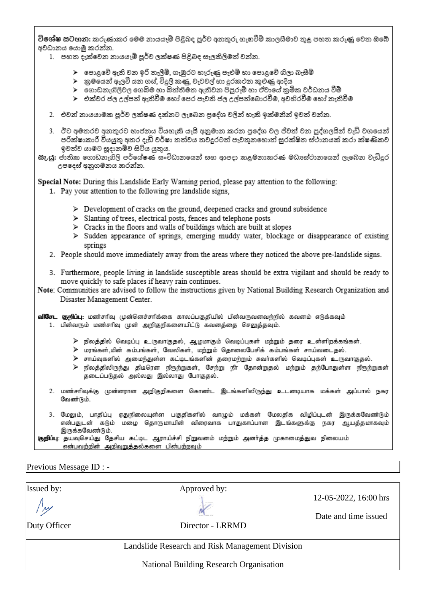විශේෂ සටහන: කරුණාකර මෙම නායයෑම් පිළිබද පූර්ව අනතුරු හැඟවීම් කාලසීමාව තුළ පහත කරුණු වෙත ඔබේ අවධානය යොමු කරන්න.

- 1. පහත දැක්වෙන නායයෑම් පූර්ව ලක්ෂණ පිළිබද සැලකිලිමත් වන්න.
	- $\blacktriangleright$  පොළවේ ඇති වන ඉරි තැලීම්, ගැඹුරට හෑරුණු පැළුම් හා පොළවේ ගිලා බැසීම්
	- ≻ු කුමයෙන් ඇලවී යන ගස්, විදුලි කණු, වැටවල් හා දුරකථන කුළුණු ආදිය
	- $\blacktriangleright$  ගොඩනැගිලිවල ගෙබිම හා බිත්තිමත ඇතිවන පිපුරුම් හා ඒවායේ කුමික වර්ධනය වීම්
	- ≻ එක්වර ජල උල්පත් ඇතිවීම හෝ පෙර පැවති ජල උල්පත්බොරවීම. අවහිරවීම හෝ තැතිවීම
- 2. එවන් නායයාමක පූර්ව ලක්ෂණ දක්නට ලැබෙන පුදේශ වලින් හැකි ඉක්මනින් ඉවත් වන්න.
- 3. ඊට අමතරව අනතුරට භාජනය වියහැකි යැයි අනුමාන කරන පුදේශ වල ජිවත් වන පුද්ගලයින් වැඩි වශයෙන් පරික්ෂාකාරී වියයුතු අතර දැඩි වර්ෂා තත්වය තවදුරටත් පැවතුනහොත් සුරක්ෂිත ස්ථානයක් කරා ක්ෂණිකව ඉවත්ව යාමට සූදානම්ව සිටිය යුතුය.
- සැ.යූ: ජාතික ගොඩනැගිලි පර්යේෂණ සංවිධානයෙන් සහ ආපදා කළමනාකරණ මධාපේථානයෙන් ලැබෙන වැඩිදුර උපදෙස් අනුගමනය කරන්න.

Special Note: During this Landslide Early Warning period, please pay attention to the following:

- 1. Pay your attention to the following pre landslide signs,
	- $\triangleright$  Development of cracks on the ground, deepened cracks and ground subsidence
	- > Slanting of trees, electrical posts, fences and telephone posts
	- $\triangleright$  Cracks in the floors and walls of buildings which are built at slopes
	- > Sudden appearance of springs, emerging muddy water, blockage or disappearance of existing springs
- 2. People should move immediately away from the areas where they noticed the above pre-landslide signs.
- 3. Furthermore, people living in landslide susceptible areas should be extra vigilant and should be ready to move quickly to safe places if heavy rain continues.
- Note: Communities are advised to follow the instructions given by National Building Research Organization and Disaster Management Center.

|  |  |  |  | <b>விசேட குறிப்பு</b> : மண்சரிவு முன்னெச்சரிக்கை காலப்பகுதியில் பின்வருவனவற்றில் கவனம் எடுக்கவும் |  |
|--|--|--|--|---------------------------------------------------------------------------------------------------|--|
|  |  |  |  | 1. பின்வரும் மண்சரிவு முன் அறிகுறிகளையிட்டு கவனத்தை செலுத்தவும்.                                  |  |

- $\triangleright$  நிலத்தில் வெடிப்பு உருவாகுதல், ஆழமாகும் வெடிப்புகள் மற்றும் தரை உள்ளிறக்கங்கள்.
- ≽ மரங்கள்,மின் கம்பங்கள், வேலிகள், மற்றும் தொலைபேசிக் கம்பங்கள் சாய்வடைதல்.
- <mark>≫ சாய்வுகளில் அமைந்துள்ள கட்டிடங்களின் தரைமற்றும் சுவர்களில் வெடிப்புகள் உருவாகுதல்.</mark>
- ≻ நிலத்திலிருந்து திடிரென நீரூற்றுகள், சேற்று நீா தோன்றுதல் மற்றும் தற்போதுள்ள நீரூற்றுகள் தடைப்படுதல் அல்லது இல்லாது போகுதல்.
- 2. மண்சரிவுக்கு முன்னரான அறிகுறிகளை கொண்ட இடங்களிலிருந்து உடனடியாக மக்கள் அப்பால் நகர வேண்டும்.
- 3. மேலும், பாதிப்பு ஏதுநிலையுள்ள பகுதிகளில் வாழும் மக்கள் மேலதிக விழிப்புடன் இருக்கவேண்டும் என்பதுடன் கடும் மழை தொருமாயின் விரைவாக பாதுகாப்பான இடங்களுக்கு நகர ஆயத்தமாகவும் இருக்கவேண்டும்.

குறிப்பு: தயவுசெய்து தேசிய கட்டிட ஆராய்ச்சி நிறுவனம் மற்றும் அனர்த்த முகாமைத்துவ நிலையம் என்பவற்றின் அறிவுறுத்தல்களை பின்பற்றவும்

Previous Message ID : -

**Issued by:** Approved by: 12-05-2022, 16:00 hrs Date and time issued Duty Officer Director - LRRMD Landslide Research and Risk Management Division **National Building Research Organisation**